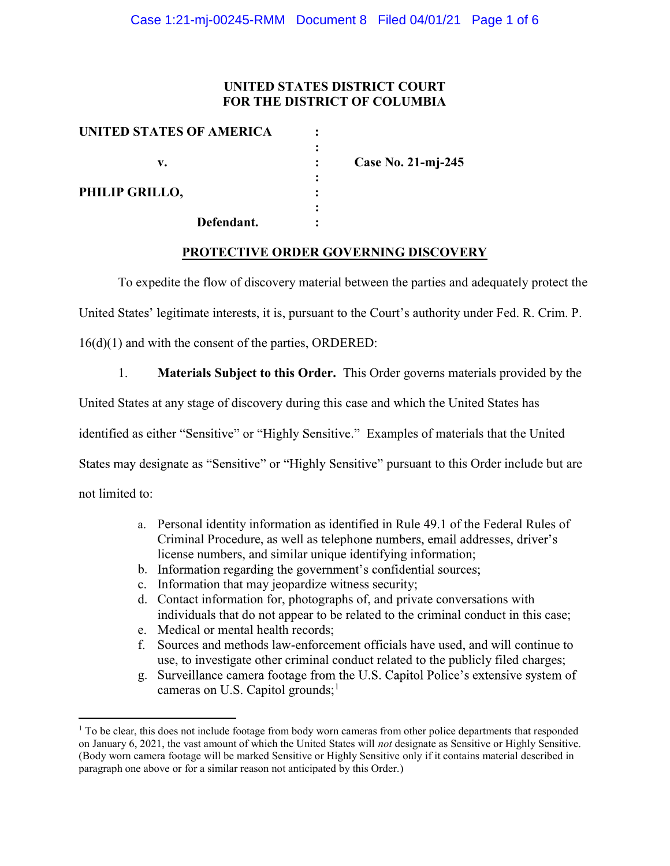## UNITED STATES DISTRICT COURT FOR THE DISTRICT OF COLUMBIA

| UNITED STATES OF AMERICA |                    |
|--------------------------|--------------------|
|                          |                    |
| v.                       | Case No. 21-mj-245 |
|                          |                    |
| PHILIP GRILLO,           |                    |
|                          |                    |
| Defendant.               |                    |

### PROTECTIVE ORDER GOVERNING DISCOVERY

To expedite the flow of discovery material between the parties and adequately protect the

United States' legitimate interests, it is, pursuant to the Court's authority under Fed. R. Crim. P.

16(d)(1) and with the consent of the parties, ORDERED:

1. Materials Subject to this Order. This Order governs materials provided by the

United States at any stage of discovery during this case and which the United States has

identified as either "Sensitive" or "Highly Sensitive." Examples of materials that the United

States may designate as "Sensitive" or "Highly Sensitive" pursuant to this Order include but are

not limited to:

 $\overline{a}$ 

- a. Personal identity information as identified in Rule 49.1 of the Federal Rules of Criminal Procedure, as well as telephone numbers, email addresses, driver's license numbers, and similar unique identifying information;
- b. Information regarding the government's confidential sources;
- c. Information that may jeopardize witness security;
- d. Contact information for, photographs of, and private conversations with individuals that do not appear to be related to the criminal conduct in this case;
- e. Medical or mental health records;
- f. Sources and methods law-enforcement officials have used, and will continue to use, to investigate other criminal conduct related to the publicly filed charges;
- g. Surveillance camera footage from the U.S. Capitol Police's extensive system of cameras on U.S. Capitol grounds; $<sup>1</sup>$ </sup>

<sup>&</sup>lt;sup>1</sup> To be clear, this does not include footage from body worn cameras from other police departments that responded on January 6, 2021, the vast amount of which the United States will not designate as Sensitive or Highly Sensitive. (Body worn camera footage will be marked Sensitive or Highly Sensitive only if it contains material described in paragraph one above or for a similar reason not anticipated by this Order.)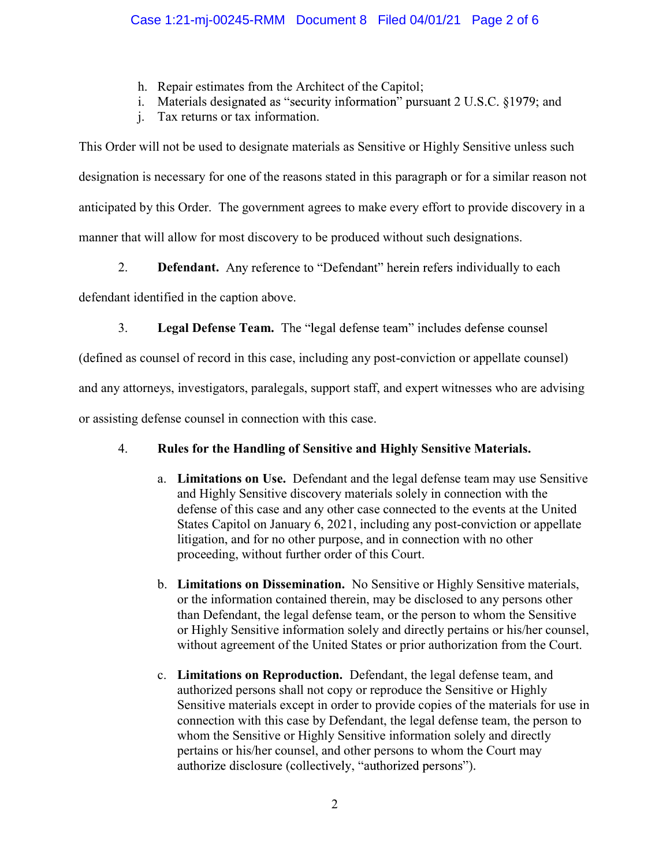- h. Repair estimates from the Architect of the Capitol;
- i. Materials designated as "security information" pursuant  $2$  U.S.C. §1979; and
- j. Tax returns or tax information.

This Order will not be used to designate materials as Sensitive or Highly Sensitive unless such designation is necessary for one of the reasons stated in this paragraph or for a similar reason not anticipated by this Order. The government agrees to make every effort to provide discovery in a manner that will allow for most discovery to be produced without such designations.

2. Defendant. Any reference to "Defendant" herein refers individually to each

defendant identified in the caption above.

3. Legal Defense Team. The "legal defense team" includes defense counsel

(defined as counsel of record in this case, including any post-conviction or appellate counsel)

and any attorneys, investigators, paralegals, support staff, and expert witnesses who are advising

or assisting defense counsel in connection with this case.

# 4. Rules for the Handling of Sensitive and Highly Sensitive Materials.

- a. Limitations on Use. Defendant and the legal defense team may use Sensitive and Highly Sensitive discovery materials solely in connection with the defense of this case and any other case connected to the events at the United States Capitol on January 6, 2021, including any post-conviction or appellate litigation, and for no other purpose, and in connection with no other proceeding, without further order of this Court.
- b. Limitations on Dissemination. No Sensitive or Highly Sensitive materials, or the information contained therein, may be disclosed to any persons other than Defendant, the legal defense team, or the person to whom the Sensitive or Highly Sensitive information solely and directly pertains or his/her counsel, without agreement of the United States or prior authorization from the Court.
- c. Limitations on Reproduction. Defendant, the legal defense team, and authorized persons shall not copy or reproduce the Sensitive or Highly Sensitive materials except in order to provide copies of the materials for use in connection with this case by Defendant, the legal defense team, the person to whom the Sensitive or Highly Sensitive information solely and directly pertains or his/her counsel, and other persons to whom the Court may authorize disclosure (collectively, "authorized persons").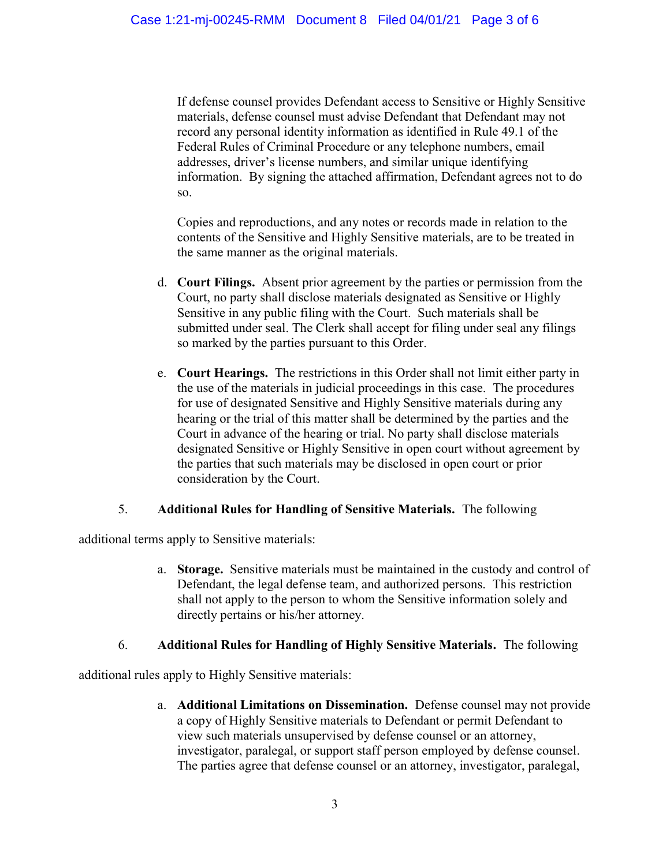If defense counsel provides Defendant access to Sensitive or Highly Sensitive materials, defense counsel must advise Defendant that Defendant may not record any personal identity information as identified in Rule 49.1 of the Federal Rules of Criminal Procedure or any telephone numbers, email addresses, driver's license numbers, and similar unique identifying information. By signing the attached affirmation, Defendant agrees not to do so.

Copies and reproductions, and any notes or records made in relation to the contents of the Sensitive and Highly Sensitive materials, are to be treated in the same manner as the original materials.

- d. Court Filings. Absent prior agreement by the parties or permission from the Court, no party shall disclose materials designated as Sensitive or Highly Sensitive in any public filing with the Court. Such materials shall be submitted under seal. The Clerk shall accept for filing under seal any filings so marked by the parties pursuant to this Order.
- e. Court Hearings. The restrictions in this Order shall not limit either party in the use of the materials in judicial proceedings in this case. The procedures for use of designated Sensitive and Highly Sensitive materials during any hearing or the trial of this matter shall be determined by the parties and the Court in advance of the hearing or trial. No party shall disclose materials designated Sensitive or Highly Sensitive in open court without agreement by the parties that such materials may be disclosed in open court or prior consideration by the Court.

### 5. Additional Rules for Handling of Sensitive Materials. The following

additional terms apply to Sensitive materials:

a. Storage. Sensitive materials must be maintained in the custody and control of Defendant, the legal defense team, and authorized persons. This restriction shall not apply to the person to whom the Sensitive information solely and directly pertains or his/her attorney.

# 6. Additional Rules for Handling of Highly Sensitive Materials. The following

additional rules apply to Highly Sensitive materials:

a. Additional Limitations on Dissemination. Defense counsel may not provide a copy of Highly Sensitive materials to Defendant or permit Defendant to view such materials unsupervised by defense counsel or an attorney, investigator, paralegal, or support staff person employed by defense counsel. The parties agree that defense counsel or an attorney, investigator, paralegal,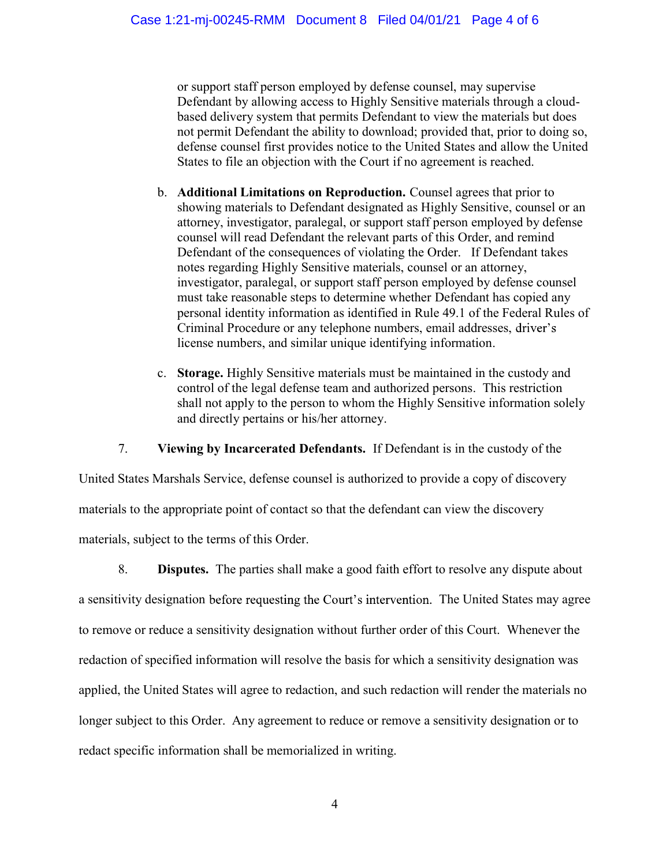or support staff person employed by defense counsel, may supervise Defendant by allowing access to Highly Sensitive materials through a cloudbased delivery system that permits Defendant to view the materials but does not permit Defendant the ability to download; provided that, prior to doing so, defense counsel first provides notice to the United States and allow the United States to file an objection with the Court if no agreement is reached.

- b. Additional Limitations on Reproduction. Counsel agrees that prior to showing materials to Defendant designated as Highly Sensitive, counsel or an attorney, investigator, paralegal, or support staff person employed by defense counsel will read Defendant the relevant parts of this Order, and remind Defendant of the consequences of violating the Order. If Defendant takes notes regarding Highly Sensitive materials, counsel or an attorney, investigator, paralegal, or support staff person employed by defense counsel must take reasonable steps to determine whether Defendant has copied any personal identity information as identified in Rule 49.1 of the Federal Rules of Criminal Procedure or any telephone numbers, email addresses, license numbers, and similar unique identifying information.
- c. Storage. Highly Sensitive materials must be maintained in the custody and control of the legal defense team and authorized persons. This restriction shall not apply to the person to whom the Highly Sensitive information solely and directly pertains or his/her attorney.

7. Viewing by Incarcerated Defendants. If Defendant is in the custody of the

United States Marshals Service, defense counsel is authorized to provide a copy of discovery materials to the appropriate point of contact so that the defendant can view the discovery materials, subject to the terms of this Order.

8. Disputes. The parties shall make a good faith effort to resolve any dispute about a sensitivity designation before requesting the Court's intervention. The United States may agree to remove or reduce a sensitivity designation without further order of this Court. Whenever the redaction of specified information will resolve the basis for which a sensitivity designation was applied, the United States will agree to redaction, and such redaction will render the materials no longer subject to this Order. Any agreement to reduce or remove a sensitivity designation or to redact specific information shall be memorialized in writing.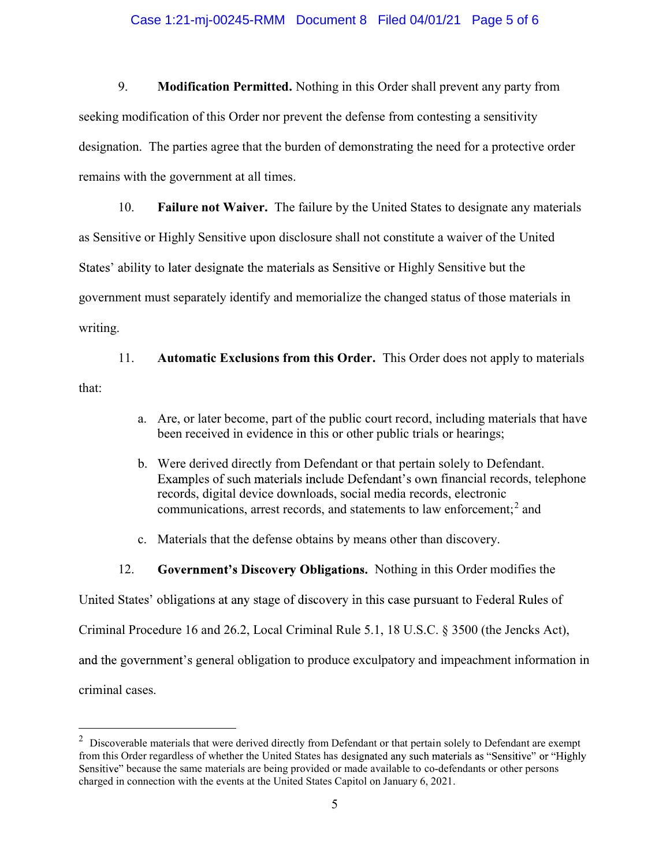#### Case 1:21-mj-00245-RMM Document 8 Filed 04/01/21 Page 5 of 6

9. Modification Permitted. Nothing in this Order shall prevent any party from seeking modification of this Order nor prevent the defense from contesting a sensitivity designation. The parties agree that the burden of demonstrating the need for a protective order remains with the government at all times.

10. Failure not Waiver. The failure by the United States to designate any materials as Sensitive or Highly Sensitive upon disclosure shall not constitute a waiver of the United States' ability to later designate the materials as Sensitive or Highly Sensitive but the government must separately identify and memorialize the changed status of those materials in writing.

11. Automatic Exclusions from this Order. This Order does not apply to materials that:

- a. Are, or later become, part of the public court record, including materials that have been received in evidence in this or other public trials or hearings;
- b. Were derived directly from Defendant or that pertain solely to Defendant. Examples of such materials include Defendant's own financial records, telephone records, digital device downloads, social media records, electronic communications, arrest records, and statements to law enforcement; $^2$  and
- c. Materials that the defense obtains by means other than discovery.
- 12. Government's Discovery Obligations. Nothing in this Order modifies the

United States' obligations at any stage of discovery in this case pursuant to Federal Rules of

Criminal Procedure 16 and 26.2, Local Criminal Rule 5.1, 18 U.S.C. § 3500 (the Jencks Act),

and the government's general obligation to produce exculpatory and impeachment information in

criminal cases.

 $\overline{a}$ 

 $2$  Discoverable materials that were derived directly from Defendant or that pertain solely to Defendant are exempt from this Order regardless of whether the United States has designated any such materials as "Sensitive" or "Highly Sensitive" because the same materials are being provided or made available to co-defendants or other persons charged in connection with the events at the United States Capitol on January 6, 2021.